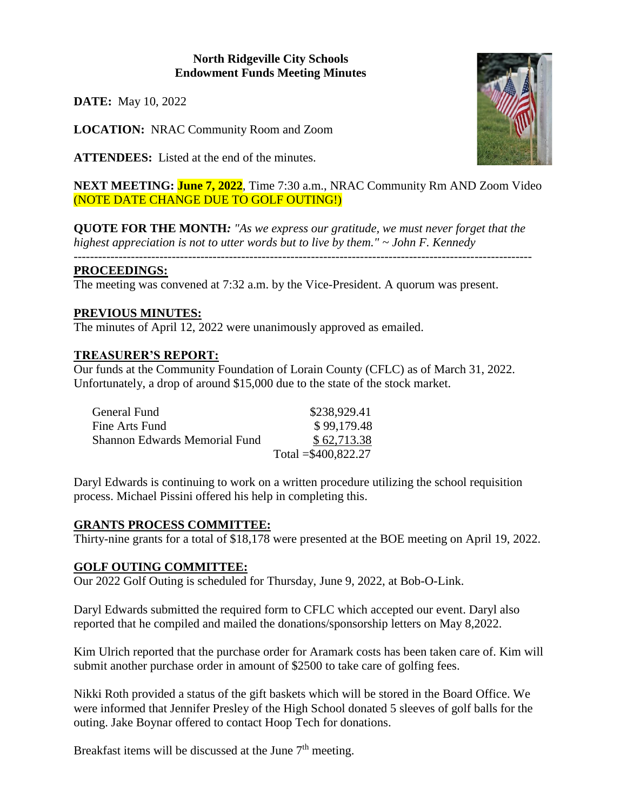### **North Ridgeville City Schools Endowment Funds Meeting Minutes**

**DATE:** May 10, 2022

**LOCATION:** NRAC Community Room and Zoom

**ATTENDEES:** Listed at the end of the minutes.



**NEXT MEETING: June 7, 2022**, Time 7:30 a.m., NRAC Community Rm AND Zoom Video (NOTE DATE CHANGE DUE TO GOLF OUTING!)

**QUOTE FOR THE MONTH***: "As we express our gratitude, we must never forget that the highest appreciation is not to utter words but to live by them." ~ John F. Kennedy*

# *----------------------------------------------------------------------------------------------------------------*

#### **PROCEEDINGS:**

The meeting was convened at 7:32 a.m. by the Vice-President. A quorum was present.

# **PREVIOUS MINUTES:**

The minutes of April 12, 2022 were unanimously approved as emailed.

#### **TREASURER'S REPORT:**

Our funds at the Community Foundation of Lorain County (CFLC) as of March 31, 2022. Unfortunately, a drop of around \$15,000 due to the state of the stock market.

| General Fund                         | \$238,929.41         |
|--------------------------------------|----------------------|
| Fine Arts Fund                       | \$99,179.48          |
| <b>Shannon Edwards Memorial Fund</b> | \$62,713.38          |
|                                      | Total = \$400,822.27 |

Daryl Edwards is continuing to work on a written procedure utilizing the school requisition process. Michael Pissini offered his help in completing this.

# **GRANTS PROCESS COMMITTEE:**

Thirty-nine grants for a total of \$18,178 were presented at the BOE meeting on April 19, 2022.

# **GOLF OUTING COMMITTEE:**

Our 2022 Golf Outing is scheduled for Thursday, June 9, 2022, at Bob-O-Link.

Daryl Edwards submitted the required form to CFLC which accepted our event. Daryl also reported that he compiled and mailed the donations/sponsorship letters on May 8,2022.

Kim Ulrich reported that the purchase order for Aramark costs has been taken care of. Kim will submit another purchase order in amount of \$2500 to take care of golfing fees.

Nikki Roth provided a status of the gift baskets which will be stored in the Board Office. We were informed that Jennifer Presley of the High School donated 5 sleeves of golf balls for the outing. Jake Boynar offered to contact Hoop Tech for donations.

Breakfast items will be discussed at the June  $7<sup>th</sup>$  meeting.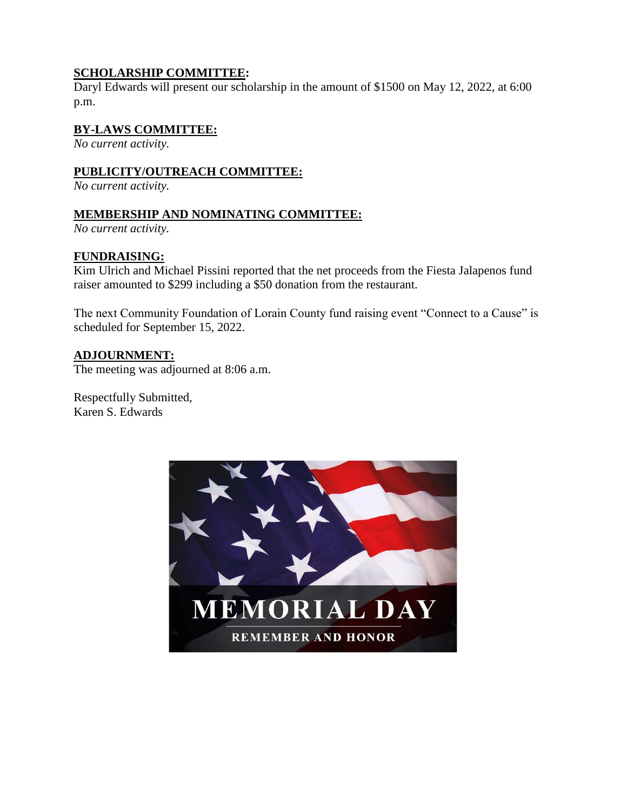# **SCHOLARSHIP COMMITTEE:**

Daryl Edwards will present our scholarship in the amount of \$1500 on May 12, 2022, at 6:00 p.m.

### **BY-LAWS COMMITTEE:**

*No current activity.*

#### **PUBLICITY/OUTREACH COMMITTEE:**

*No current activity.*

#### **MEMBERSHIP AND NOMINATING COMMITTEE:**

*No current activity.*

#### **FUNDRAISING:**

Kim Ulrich and Michael Pissini reported that the net proceeds from the Fiesta Jalapenos fund raiser amounted to \$299 including a \$50 donation from the restaurant.

The next Community Foundation of Lorain County fund raising event "Connect to a Cause" is scheduled for September 15, 2022.

# **ADJOURNMENT:**

The meeting was adjourned at 8:06 a.m.

Respectfully Submitted, Karen S. Edwards